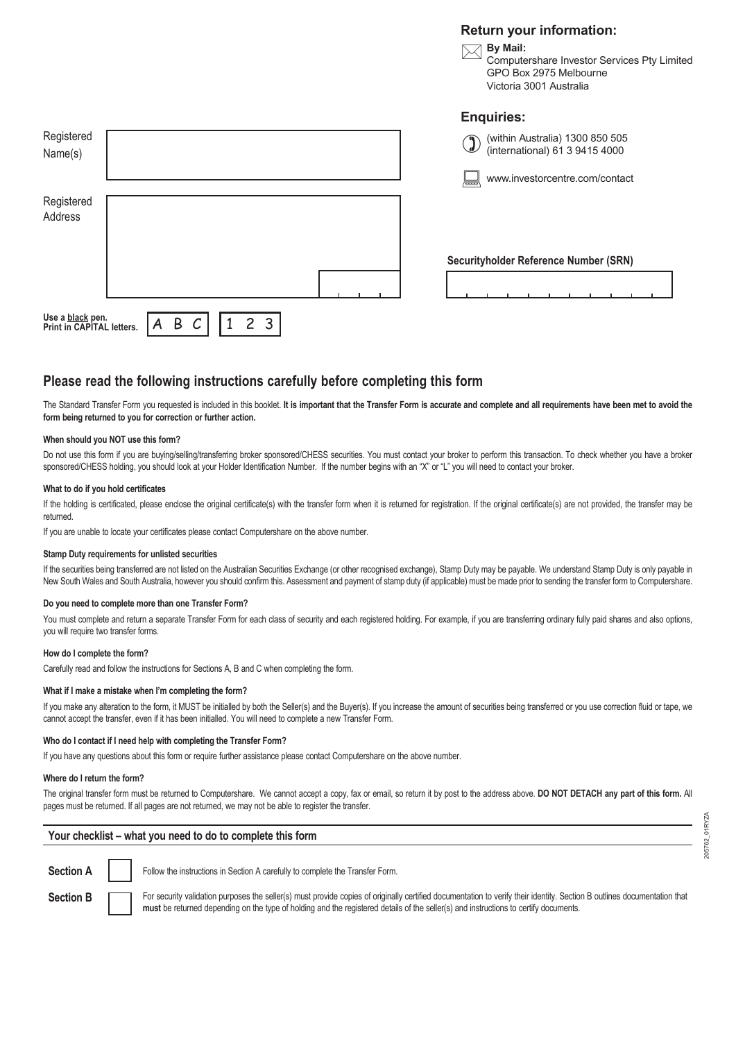## **Return your information:**



## **Please read the following instructions carefully before completing this form**

The Standard Transfer Form you requested is included in this booklet. It is important that the Transfer Form is accurate and complete and all requirements have been met to avoid the **form being returned to you for correction or further action.**

#### **When should you NOT use this form?**

Do not use this form if you are buying/selling/transferring broker sponsored/CHESS securities. You must contact your broker to perform this transaction. To check whether you have a broker sponsored/CHESS holding, you should look at your Holder Identification Number. If the number begins with an "X" or "L" you will need to contact your broker.

#### **What to do if you hold certificates**

If the holding is certificated, please enclose the original certificate(s) with the transfer form when it is returned for registration. If the original certificate(s) are not provided, the transfer may be returned.

If you are unable to locate your certificates please contact Computershare on the above number.

## **Stamp Duty requirements for unlisted securities**

If the securities being transferred are not listed on the Australian Securities Exchange (or other recognised exchange), Stamp Duty may be payable. We understand Stamp Duty is only payable in New South Wales and South Australia, however you should confirm this. Assessment and payment of stamp duty (if applicable) must be made prior to sending the transfer form to Computershare.

#### **Do you need to complete more than one Transfer Form?**

You must complete and return a separate Transfer Form for each class of security and each registered holding. For example, if you are transferring ordinary fully paid shares and also options, you will require two transfer forms.

## **How do I complete the form?**

Carefully read and follow the instructions for Sections A, B and C when completing the form.

#### **What if I make a mistake when I'm completing the form?**

If you make any alteration to the form, it MUST be initialled by both the Seller(s) and the Buyer(s). If you increase the amount of securities being transferred or you use correction fluid or tape, we cannot accept the transfer, even if it has been initialled. You will need to complete a new Transfer Form.

#### **Who do I contact if I need help with completing the Transfer Form?**

If you have any questions about this form or require further assistance please contact Computershare on the above number.

#### **Where do I return the form?**

The original transfer form must be returned to Computershare. We cannot accept a copy, fax or email, so return it by post to the address above. **DO NOT DETACH any part of this form.** All pages must be returned. If all pages are not returned, we may not be able to register the transfer.

## **Your checklist – what you need to do to complete this form**

**Section A Follow the instructions in Section A carefully to complete the Transfer Form.** 

Section B **For security validation purposes the seller(s)** must provide copies of originally certified documentation to verify their identity. Section B outlines documentation that **must** be returned depending on the type of holding and the registered details of the seller(s) and instructions to certify documents.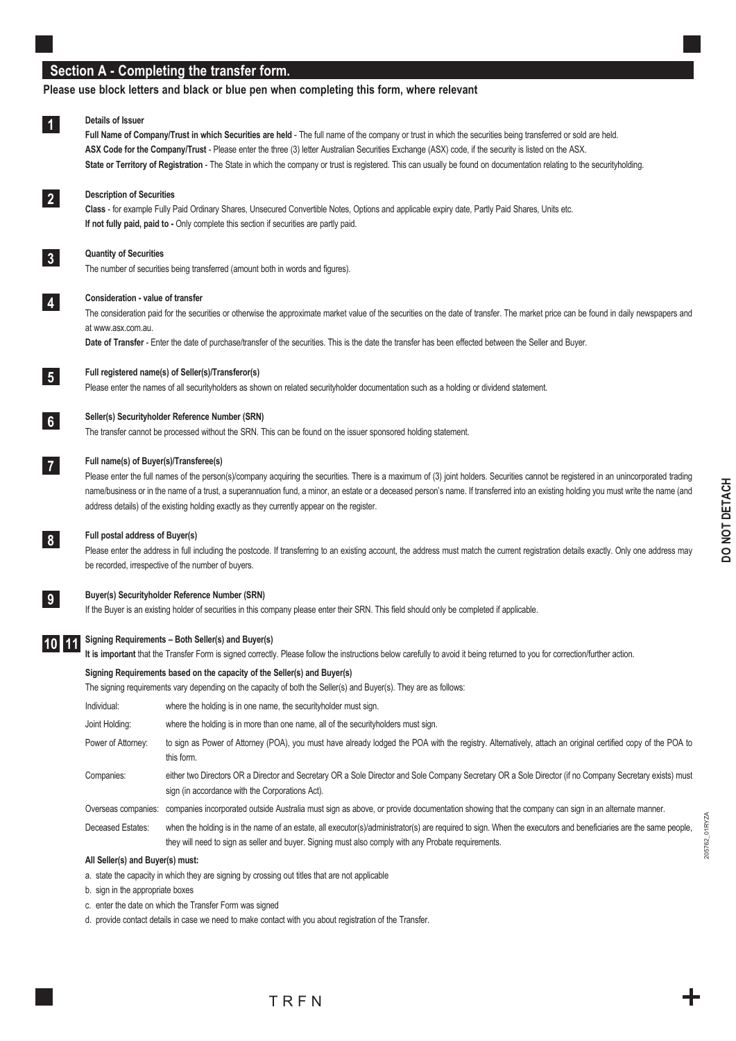# **Section A - Completing the transfer form.**

## **Please use block letters and black or blue pen when completing this form, where relevant**

#### **Details of Issuer 1**

**Full Name of Company/Trust in which Securities are held** - The full name of the company or trust in which the securities being transferred or sold are held. **ASX Code for the Company/Trust** - Please enter the three (3) letter Australian Securities Exchange (ASX) code, if the security is listed on the ASX. State or Territory of Registration - The State in which the company or trust is registered. This can usually be found on documentation relating to the securityholding.

## **Description of Securities**

**Class** - for example Fully Paid Ordinary Shares, Unsecured Convertible Notes, Options and applicable expiry date, Partly Paid Shares, Units etc. **If not fully paid, paid to - Only complete this section if securities are partly paid.** 

## **Quantity of Securities**

The number of securities being transferred (amount both in words and figures).

#### **Consideration - value of transfer**

The consideration paid for the securities or otherwise the approximate market value of the securities on the date of transfer. The market price can be found in daily newspapers and at www.asx.com.au.

**Date of Transfer** - Enter the date of purchase/transfer of the securities. This is the date the transfer has been effected between the Seller and Buyer.



**6**

**7**

**8**

**2**

**3**

**4**

## **Full registered name(s) of Seller(s)/Transferor(s)**

Please enter the names of all securityholders as shown on related securityholder documentation such as a holding or dividend statement.

#### **Seller(s) Securityholder Reference Number (SRN)**

The transfer cannot be processed without the SRN. This can be found on the issuer sponsored holding statement.

## **Full name(s) of Buyer(s)/Transferee(s)**

Please enter the full names of the person(s)/company acquiring the securities. There is a maximum of (3) joint holders. Securities cannot be registered in an unincorporated trading name/business or in the name of a trust, a superannuation fund, a minor, an estate or a deceased person's name. If transferred into an existing holding you must write the name (and address details) of the existing holding exactly as they currently appear on the register.

#### **Full postal address of Buyer(s)**

Please enter the address in full including the postcode. If transferring to an existing account, the address must match the current registration details exactly. Only one address may be recorded, irrespective of the number of buyers.



## **Buyer(s) Securityholder Reference Number (SRN)**

If the Buyer is an existing holder of securities in this company please enter their SRN. This field should only be completed if applicable.

#### **Signing Requirements – Both Seller(s) and Buyer(s) 10 11**

**It is important** that the Transfer Form is signed correctly. Please follow the instructions below carefully to avoid it being returned to you for correction/further action.

they will need to sign as seller and buyer. Signing must also comply with any Probate requirements.

## **Signing Requirements based on the capacity of the Seller(s) and Buyer(s)**

The signing requirements vary depending on the capacity of both the Seller(s) and Buyer(s). They are as follows: Individual: where the holding is in one name, the securityholder must sign. Joint Holding: where the holding is in more than one name, all of the securityholders must sign. Power of Attorney: to sign as Power of Attorney (POA), you must have already lodged the POA with the registry. Alternatively, attach an original certified copy of the POA to this form. Companies: either two Directors OR a Director and Secretary OR a Sole Director and Sole Company Secretary OR a Sole Director (if no Company Secretary exists) must sign (in accordance with the Corporations Act). Overseas companies: companies incorporated outside Australia must sign as above, or provide documentation showing that the company can sign in an alternate manner. Deceased Estates: when the holding is in the name of an estate, all executor(s)/administrator(s) are required to sign. When the executors and beneficiaries are the same people,

#### **All Seller(s) and Buyer(s) must:**

a. state the capacity in which they are signing by crossing out titles that are not applicable

b. sign in the appropriate boxes

c. enter the date on which the Transfer Form was signed

d. provide contact details in case we need to make contact with you about registration of the Transfer.

205762\_01RYZA

01RYZA 205762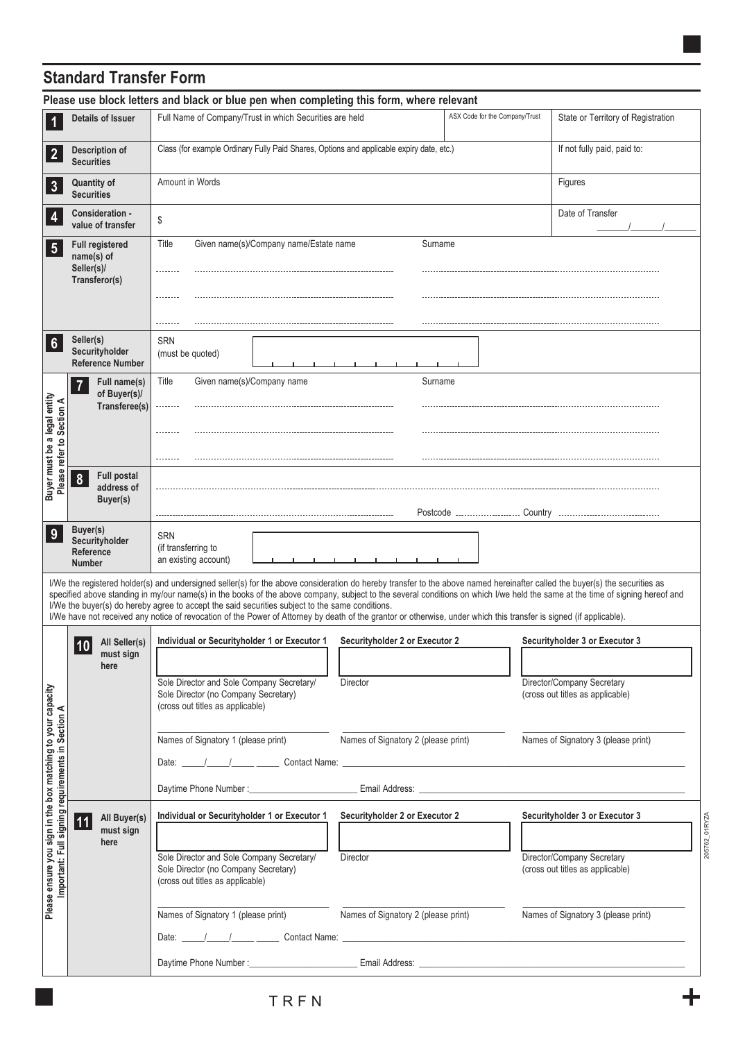# **Standard Transfer Form**

| Please use block letters and black or blue pen when completing this form, where relevant                                                                                                                                                                                                                                                                                                                                                                                                                                                                                                                                               |                                                                     |                                                                                                                                                                                                                  |                                     |                                                                                                                   |  |  |  |
|----------------------------------------------------------------------------------------------------------------------------------------------------------------------------------------------------------------------------------------------------------------------------------------------------------------------------------------------------------------------------------------------------------------------------------------------------------------------------------------------------------------------------------------------------------------------------------------------------------------------------------------|---------------------------------------------------------------------|------------------------------------------------------------------------------------------------------------------------------------------------------------------------------------------------------------------|-------------------------------------|-------------------------------------------------------------------------------------------------------------------|--|--|--|
| 1                                                                                                                                                                                                                                                                                                                                                                                                                                                                                                                                                                                                                                      | <b>Details of Issuer</b>                                            | Full Name of Company/Trust in which Securities are held                                                                                                                                                          | ASX Code for the Company/Trust      | State or Territory of Registration                                                                                |  |  |  |
| $\overline{2}$                                                                                                                                                                                                                                                                                                                                                                                                                                                                                                                                                                                                                         | <b>Description of</b><br><b>Securities</b>                          | Class (for example Ordinary Fully Paid Shares, Options and applicable expiry date, etc.)<br>If not fully paid, paid to:                                                                                          |                                     |                                                                                                                   |  |  |  |
| $\mathbf{3}$                                                                                                                                                                                                                                                                                                                                                                                                                                                                                                                                                                                                                           | <b>Quantity of</b><br><b>Securities</b>                             | Amount in Words<br>Figures                                                                                                                                                                                       |                                     |                                                                                                                   |  |  |  |
| 4                                                                                                                                                                                                                                                                                                                                                                                                                                                                                                                                                                                                                                      | Consideration -<br>value of transfer                                | Date of Transfer<br>\$                                                                                                                                                                                           |                                     |                                                                                                                   |  |  |  |
| $\sqrt{5}$                                                                                                                                                                                                                                                                                                                                                                                                                                                                                                                                                                                                                             | <b>Full registered</b><br>name(s) of<br>Seller(s)/<br>Transferor(s) | Given name(s)/Company name/Estate name<br>Title<br>                                                                                                                                                              | Surname                             |                                                                                                                   |  |  |  |
| $6\phantom{1}$                                                                                                                                                                                                                                                                                                                                                                                                                                                                                                                                                                                                                         | Seller(s)<br>Securityholder<br><b>Reference Number</b>              | <b>SRN</b><br>(must be quoted)                                                                                                                                                                                   |                                     |                                                                                                                   |  |  |  |
| Buyer must be a legal entity<br>Please refer to Section A                                                                                                                                                                                                                                                                                                                                                                                                                                                                                                                                                                              | Full name(s)<br>$\overline{7}$<br>of Buyer(s)/<br>Transferee(s)     | Given name(s)/Company name<br>Title<br>.                                                                                                                                                                         | Surname                             |                                                                                                                   |  |  |  |
|                                                                                                                                                                                                                                                                                                                                                                                                                                                                                                                                                                                                                                        | <b>Full postal</b><br>8<br>address of<br>Buyer(s)                   |                                                                                                                                                                                                                  |                                     |                                                                                                                   |  |  |  |
| 9                                                                                                                                                                                                                                                                                                                                                                                                                                                                                                                                                                                                                                      | Buyer(s)<br>Securityholder<br>Reference<br><b>Number</b>            | <b>SRN</b><br>(if transferring to<br>an existing account)                                                                                                                                                        |                                     |                                                                                                                   |  |  |  |
| I/We the registered holder(s) and undersigned seller(s) for the above consideration do hereby transfer to the above named hereinafter called the buyer(s) the securities as<br>specified above standing in my/our name(s) in the books of the above company, subject to the several conditions on which I/we held the same at the time of signing hereof and<br>I/We the buyer(s) do hereby agree to accept the said securities subject to the same conditions.<br>I/We have not received any notice of revocation of the Power of Attorney by death of the grantor or otherwise, under which this transfer is signed (if applicable). |                                                                     |                                                                                                                                                                                                                  |                                     |                                                                                                                   |  |  |  |
| Please ensure you sign in the box matching to your capacity<br>Important: Full signing requirements in Section A<br>Important: Full signing requirements in                                                                                                                                                                                                                                                                                                                                                                                                                                                                            | All Seller(s)<br>10<br>must sign                                    | Individual or Securityholder 1 or Executor 1                                                                                                                                                                     | Securityholder 2 or Executor 2      | Securityholder 3 or Executor 3                                                                                    |  |  |  |
|                                                                                                                                                                                                                                                                                                                                                                                                                                                                                                                                                                                                                                        | here                                                                | Sole Director and Sole Company Secretary/<br>Director<br>Sole Director (no Company Secretary)<br>(cross out titles as applicable)                                                                                |                                     | Director/Company Secretary<br>(cross out titles as applicable)                                                    |  |  |  |
|                                                                                                                                                                                                                                                                                                                                                                                                                                                                                                                                                                                                                                        |                                                                     | Names of Signatory 1 (please print)                                                                                                                                                                              | Names of Signatory 2 (please print) | Names of Signatory 3 (please print)                                                                               |  |  |  |
|                                                                                                                                                                                                                                                                                                                                                                                                                                                                                                                                                                                                                                        |                                                                     |                                                                                                                                                                                                                  |                                     |                                                                                                                   |  |  |  |
|                                                                                                                                                                                                                                                                                                                                                                                                                                                                                                                                                                                                                                        | All Buyer(s)<br>11<br>must sign<br>here                             | Individual or Securityholder 1 or Executor 1 Securityholder 2 or Executor 2<br>Sole Director and Sole Company Secretary/<br>Director<br>Sole Director (no Company Secretary)<br>(cross out titles as applicable) |                                     | Securityholder 3 or Executor 3<br>205762_01RYZA<br>Director/Company Secretary<br>(cross out titles as applicable) |  |  |  |
|                                                                                                                                                                                                                                                                                                                                                                                                                                                                                                                                                                                                                                        |                                                                     | Names of Signatory 1 (please print)                                                                                                                                                                              | Names of Signatory 2 (please print) | Names of Signatory 3 (please print)                                                                               |  |  |  |
|                                                                                                                                                                                                                                                                                                                                                                                                                                                                                                                                                                                                                                        |                                                                     |                                                                                                                                                                                                                  |                                     |                                                                                                                   |  |  |  |